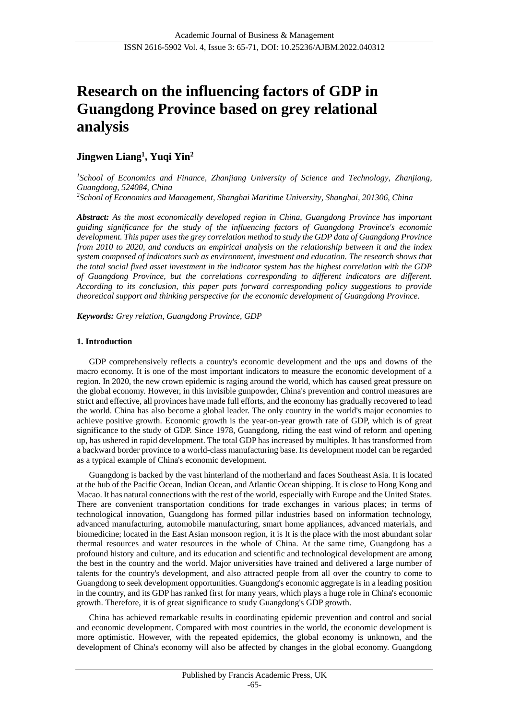# **Research on the influencing factors of GDP in Guangdong Province based on grey relational analysis**

# **Jingwen Liang<sup>1</sup> , Yuqi Yin<sup>2</sup>**

*<sup>1</sup>School of Economics and Finance, Zhanjiang University of Science and Technology, Zhanjiang, Guangdong, 524084, China*

*<sup>2</sup>School of Economics and Management, Shanghai Maritime University, Shanghai, 201306, China*

*Abstract: As the most economically developed region in China, Guangdong Province has important guiding significance for the study of the influencing factors of Guangdong Province's economic development. This paper uses the grey correlation method to study the GDP data of Guangdong Province from 2010 to 2020, and conducts an empirical analysis on the relationship between it and the index system composed of indicators such as environment, investment and education. The research shows that the total social fixed asset investment in the indicator system has the highest correlation with the GDP of Guangdong Province, but the correlations corresponding to different indicators are different. According to its conclusion, this paper puts forward corresponding policy suggestions to provide theoretical support and thinking perspective for the economic development of Guangdong Province.*

*Keywords: Grey relation, Guangdong Province, GDP*

# **1. Introduction**

GDP comprehensively reflects a country's economic development and the ups and downs of the macro economy. It is one of the most important indicators to measure the economic development of a region. In 2020, the new crown epidemic is raging around the world, which has caused great pressure on the global economy. However, in this invisible gunpowder, China's prevention and control measures are strict and effective, all provinces have made full efforts, and the economy has gradually recovered to lead the world. China has also become a global leader. The only country in the world's major economies to achieve positive growth. Economic growth is the year-on-year growth rate of GDP, which is of great significance to the study of GDP. Since 1978, Guangdong, riding the east wind of reform and opening up, has ushered in rapid development. The total GDP has increased by multiples. It has transformed from a backward border province to a world-class manufacturing base. Its development model can be regarded as a typical example of China's economic development.

Guangdong is backed by the vast hinterland of the motherland and faces Southeast Asia. It is located at the hub of the Pacific Ocean, Indian Ocean, and Atlantic Ocean shipping. It is close to Hong Kong and Macao. It has natural connections with the rest of the world, especially with Europe and the United States. There are convenient transportation conditions for trade exchanges in various places; in terms of technological innovation, Guangdong has formed pillar industries based on information technology, advanced manufacturing, automobile manufacturing, smart home appliances, advanced materials, and biomedicine; located in the East Asian monsoon region, it is It is the place with the most abundant solar thermal resources and water resources in the whole of China. At the same time, Guangdong has a profound history and culture, and its education and scientific and technological development are among the best in the country and the world. Major universities have trained and delivered a large number of talents for the country's development, and also attracted people from all over the country to come to Guangdong to seek development opportunities. Guangdong's economic aggregate is in a leading position in the country, and its GDP has ranked first for many years, which plays a huge role in China's economic growth. Therefore, it is of great significance to study Guangdong's GDP growth.

China has achieved remarkable results in coordinating epidemic prevention and control and social and economic development. Compared with most countries in the world, the economic development is more optimistic. However, with the repeated epidemics, the global economy is unknown, and the development of China's economy will also be affected by changes in the global economy. Guangdong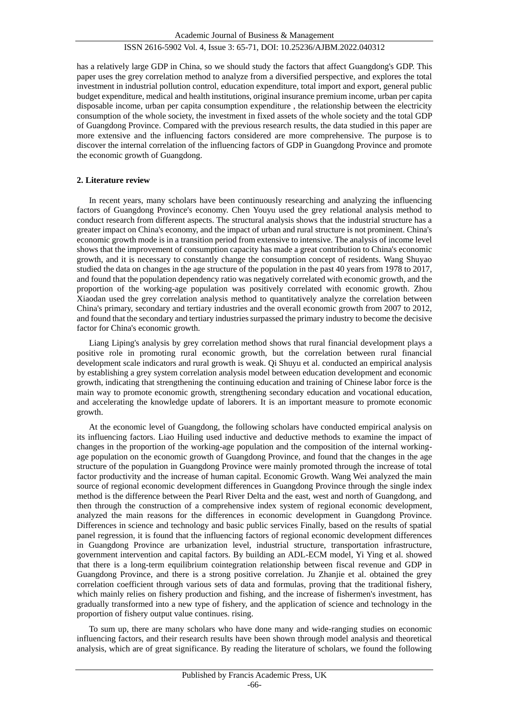has a relatively large GDP in China, so we should study the factors that affect Guangdong's GDP. This paper uses the grey correlation method to analyze from a diversified perspective, and explores the total investment in industrial pollution control, education expenditure, total import and export, general public budget expenditure, medical and health institutions, original insurance premium income, urban per capita disposable income, urban per capita consumption expenditure , the relationship between the electricity consumption of the whole society, the investment in fixed assets of the whole society and the total GDP of Guangdong Province. Compared with the previous research results, the data studied in this paper are more extensive and the influencing factors considered are more comprehensive. The purpose is to discover the internal correlation of the influencing factors of GDP in Guangdong Province and promote the economic growth of Guangdong.

# **2. Literature review**

In recent years, many scholars have been continuously researching and analyzing the influencing factors of Guangdong Province's economy. Chen Youyu used the grey relational analysis method to conduct research from different aspects. The structural analysis shows that the industrial structure has a greater impact on China's economy, and the impact of urban and rural structure is not prominent. China's economic growth mode is in a transition period from extensive to intensive. The analysis of income level shows that the improvement of consumption capacity has made a great contribution to China's economic growth, and it is necessary to constantly change the consumption concept of residents. Wang Shuyao studied the data on changes in the age structure of the population in the past 40 years from 1978 to 2017, and found that the population dependency ratio was negatively correlated with economic growth, and the proportion of the working-age population was positively correlated with economic growth. Zhou Xiaodan used the grey correlation analysis method to quantitatively analyze the correlation between China's primary, secondary and tertiary industries and the overall economic growth from 2007 to 2012, and found that the secondary and tertiary industries surpassed the primary industry to become the decisive factor for China's economic growth.

Liang Liping's analysis by grey correlation method shows that rural financial development plays a positive role in promoting rural economic growth, but the correlation between rural financial development scale indicators and rural growth is weak. Qi Shuyu et al. conducted an empirical analysis by establishing a grey system correlation analysis model between education development and economic growth, indicating that strengthening the continuing education and training of Chinese labor force is the main way to promote economic growth, strengthening secondary education and vocational education, and accelerating the knowledge update of laborers. It is an important measure to promote economic growth.

At the economic level of Guangdong, the following scholars have conducted empirical analysis on its influencing factors. Liao Huiling used inductive and deductive methods to examine the impact of changes in the proportion of the working-age population and the composition of the internal workingage population on the economic growth of Guangdong Province, and found that the changes in the age structure of the population in Guangdong Province were mainly promoted through the increase of total factor productivity and the increase of human capital. Economic Growth. Wang Wei analyzed the main source of regional economic development differences in Guangdong Province through the single index method is the difference between the Pearl River Delta and the east, west and north of Guangdong, and then through the construction of a comprehensive index system of regional economic development, analyzed the main reasons for the differences in economic development in Guangdong Province. Differences in science and technology and basic public services Finally, based on the results of spatial panel regression, it is found that the influencing factors of regional economic development differences in Guangdong Province are urbanization level, industrial structure, transportation infrastructure, government intervention and capital factors. By building an ADL-ECM model, Yi Ying et al. showed that there is a long-term equilibrium cointegration relationship between fiscal revenue and GDP in Guangdong Province, and there is a strong positive correlation. Ju Zhanjie et al. obtained the grey correlation coefficient through various sets of data and formulas, proving that the traditional fishery, which mainly relies on fishery production and fishing, and the increase of fishermen's investment, has gradually transformed into a new type of fishery, and the application of science and technology in the proportion of fishery output value continues. rising.

To sum up, there are many scholars who have done many and wide-ranging studies on economic influencing factors, and their research results have been shown through model analysis and theoretical analysis, which are of great significance. By reading the literature of scholars, we found the following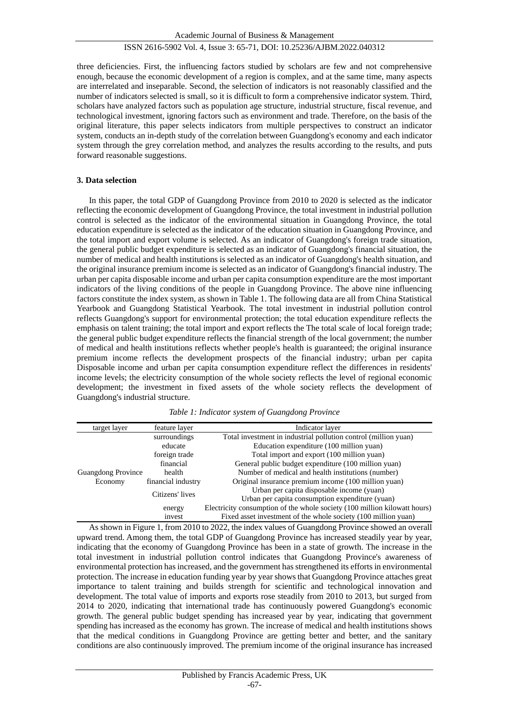three deficiencies. First, the influencing factors studied by scholars are few and not comprehensive enough, because the economic development of a region is complex, and at the same time, many aspects are interrelated and inseparable. Second, the selection of indicators is not reasonably classified and the number of indicators selected is small, so it is difficult to form a comprehensive indicator system. Third, scholars have analyzed factors such as population age structure, industrial structure, fiscal revenue, and technological investment, ignoring factors such as environment and trade. Therefore, on the basis of the original literature, this paper selects indicators from multiple perspectives to construct an indicator system, conducts an in-depth study of the correlation between Guangdong's economy and each indicator system through the grey correlation method, and analyzes the results according to the results, and puts forward reasonable suggestions.

#### **3. Data selection**

In this paper, the total GDP of Guangdong Province from 2010 to 2020 is selected as the indicator reflecting the economic development of Guangdong Province, the total investment in industrial pollution control is selected as the indicator of the environmental situation in Guangdong Province, the total education expenditure is selected as the indicator of the education situation in Guangdong Province, and the total import and export volume is selected. As an indicator of Guangdong's foreign trade situation, the general public budget expenditure is selected as an indicator of Guangdong's financial situation, the number of medical and health institutions is selected as an indicator of Guangdong's health situation, and the original insurance premium income is selected as an indicator of Guangdong's financial industry. The urban per capita disposable income and urban per capita consumption expenditure are the most important indicators of the living conditions of the people in Guangdong Province. The above nine influencing factors constitute the index system, as shown in Table 1. The following data are all from China Statistical Yearbook and Guangdong Statistical Yearbook. The total investment in industrial pollution control reflects Guangdong's support for environmental protection; the total education expenditure reflects the emphasis on talent training; the total import and export reflects the The total scale of local foreign trade; the general public budget expenditure reflects the financial strength of the local government; the number of medical and health institutions reflects whether people's health is guaranteed; the original insurance premium income reflects the development prospects of the financial industry; urban per capita Disposable income and urban per capita consumption expenditure reflect the differences in residents' income levels; the electricity consumption of the whole society reflects the level of regional economic development; the investment in fixed assets of the whole society reflects the development of Guangdong's industrial structure.

| target layer                         | feature layer      | Indicator layer                                                           |  |
|--------------------------------------|--------------------|---------------------------------------------------------------------------|--|
|                                      | surroundings       | Total investment in industrial pollution control (million yuan)           |  |
| <b>Guangdong Province</b><br>Economy | educate            | Education expenditure (100 million yuan)                                  |  |
|                                      | foreign trade      | Total import and export (100 million yuan)                                |  |
|                                      | financial          | General public budget expenditure (100 million yuan)                      |  |
|                                      | health             | Number of medical and health institutions (number)                        |  |
|                                      | financial industry | Original insurance premium income (100 million yuan)                      |  |
|                                      | Citizens' lives    | Urban per capita disposable income (yuan)                                 |  |
|                                      |                    | Urban per capita consumption expenditure (yuan)                           |  |
|                                      | energy             | Electricity consumption of the whole society (100 million kilowatt hours) |  |
|                                      | invest             | Fixed asset investment of the whole society (100 million yuan)            |  |

*Table 1: Indicator system of Guangdong Province*

As shown in Figure 1, from 2010 to 2022, the index values of Guangdong Province showed an overall upward trend. Among them, the total GDP of Guangdong Province has increased steadily year by year, indicating that the economy of Guangdong Province has been in a state of growth. The increase in the total investment in industrial pollution control indicates that Guangdong Province's awareness of environmental protection has increased, and the government has strengthened its efforts in environmental protection. The increase in education funding year by year shows that Guangdong Province attaches great importance to talent training and builds strength for scientific and technological innovation and development. The total value of imports and exports rose steadily from 2010 to 2013, but surged from 2014 to 2020, indicating that international trade has continuously powered Guangdong's economic growth. The general public budget spending has increased year by year, indicating that government spending has increased as the economy has grown. The increase of medical and health institutions shows that the medical conditions in Guangdong Province are getting better and better, and the sanitary conditions are also continuously improved. The premium income of the original insurance has increased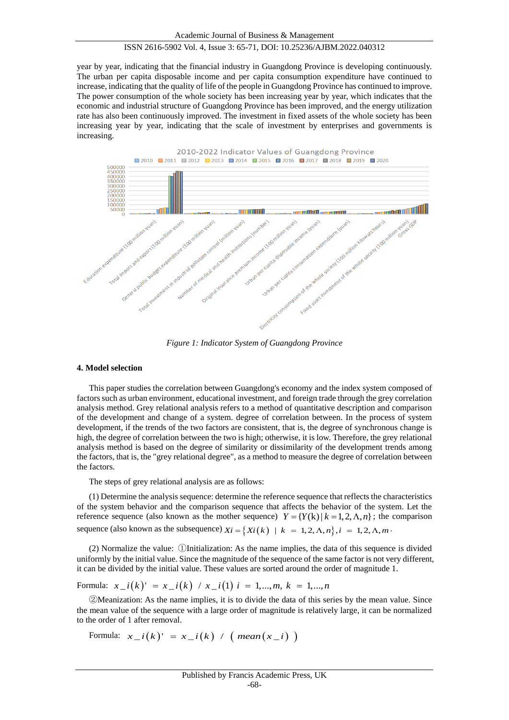year by year, indicating that the financial industry in Guangdong Province is developing continuously. The urban per capita disposable income and per capita consumption expenditure have continued to increase, indicating that the quality of life of the people in Guangdong Province has continued to improve. The power consumption of the whole society has been increasing year by year, which indicates that the economic and industrial structure of Guangdong Province has been improved, and the energy utilization rate has also been continuously improved. The investment in fixed assets of the whole society has been increasing year by year, indicating that the scale of investment by enterprises and governments is increasing.



*Figure 1: Indicator System of Guangdong Province*

#### **4. Model selection**

This paper studies the correlation between Guangdong's economy and the index system composed of factors such as urban environment, educational investment, and foreign trade through the grey correlation analysis method. Grey relational analysis refers to a method of quantitative description and comparison of the development and change of a system. degree of correlation between. In the process of system development, if the trends of the two factors are consistent, that is, the degree of synchronous change is high, the degree of correlation between the two is high; otherwise, it is low. Therefore, the grey relational analysis method is based on the degree of similarity or dissimilarity of the development trends among the factors, that is, the "grey relational degree", as a method to measure the degree of correlation between the factors.

The steps of grey relational analysis are as follows:

(1) Determine the analysis sequence: determine the reference sequence that reflects the characteristics of the system behavior and the comparison sequence that affects the behavior of the system. Let the reference sequence (also known as the mother sequence)  $Y = \{Y(k) | k = 1, 2, \Lambda, n\}$ ; the comparison sequence (also known as the subsequence)  $Xi = \{Xi(k) \mid k = 1, 2, \Lambda, n\}, i = 1, 2, \Lambda, m\}$ 

(2) Normalize the value: ①Initialization: As the name implies, the data of this sequence is divided uniformly by the initial value. Since the magnitude of the sequence of the same factor is not very different, it can be divided by the initial value. These values are sorted around the order of magnitude 1.

Formula:  $x_i$   $i(k)$   $x_i$   $x_i$   $i(k)$   $x_i$   $x_i$   $i(1)$   $i = 1,...,m$ ,  $k = 1,...,n$ 

②Meanization: As the name implies, it is to divide the data of this series by the mean value. Since the mean value of the sequence with a large order of magnitude is relatively large, it can be normalized to the order of 1 after removal.

Formula: 
$$
x_i(k) = x_i(k) / (mean(x_i))
$$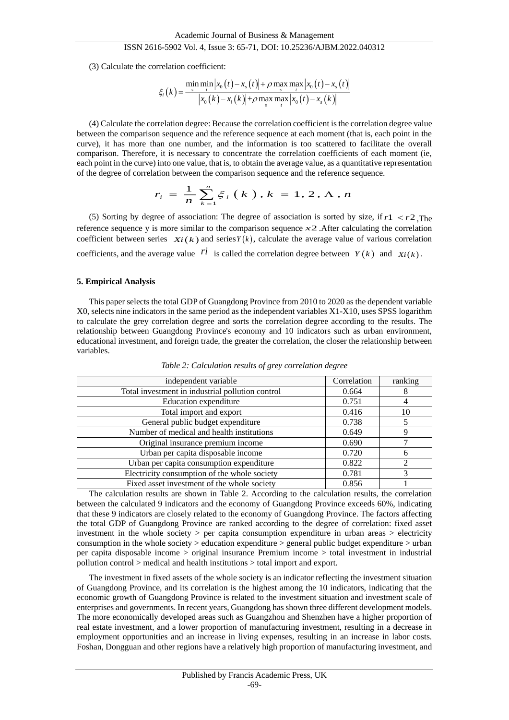(3) Calculate the correlation coefficient:

$$
\xi_i(k) = \frac{\min_{s} \min_{t} |x_0(t) - x_s(t)| + \rho \max_{s} \max_{t} |x_0(t) - x_s(t)|}{|x_0(k) - x_i(k)| + \rho \max_{s} \max_{t} |x_0(t) - x_s(k)|}
$$

(4) Calculate the correlation degree: Because the correlation coefficient is the correlation degree value between the comparison sequence and the reference sequence at each moment (that is, each point in the curve), it has more than one number, and the information is too scattered to facilitate the overall comparison. Therefore, it is necessary to concentrate the correlation coefficients of each moment (ie, each point in the curve) into one value, that is, to obtain the average value, as a quantitative representation of the degree of correlation between the comparison sequence and the reference sequence.<br>  $r_i = \frac{1}{n} \sum_{k=1}^{n} \xi_i(k), k = 1, 2, \Lambda, n$ 

$$
r_{i} = \frac{1}{n} \sum_{k=1}^{n} \xi_{i} (k), k = 1, 2, \Lambda, n
$$

(5) Sorting by degree of association: The degree of association is sorted by size, if  $r1 < r2$ , The reference sequence y is more similar to the comparison sequence *<sup>x</sup>*2 .After calculating the correlation coefficient between series  $Xi(k)$  and series  $Y(k)$ , calculate the average value of various correlation coefficients, and the average value  $ri$  is called the correlation degree between  $Y(k)$  and  $Xi(k)$ .

#### **5. Empirical Analysis**

This paper selects the total GDP of Guangdong Province from 2010 to 2020 as the dependent variable X0, selects nine indicators in the same period as the independent variables X1-X10, uses SPSS logarithm to calculate the grey correlation degree and sorts the correlation degree according to the results. The relationship between Guangdong Province's economy and 10 indicators such as urban environment, educational investment, and foreign trade, the greater the correlation, the closer the relationship between variables.

| independent variable                             | Correlation | ranking |
|--------------------------------------------------|-------------|---------|
| Total investment in industrial pollution control | 0.664       |         |
| Education expenditure                            | 0.751       |         |
| Total import and export                          | 0.416       | 10      |
| General public budget expenditure                | 0.738       |         |
| Number of medical and health institutions        | 0.649       |         |
| Original insurance premium income                | 0.690       |         |
| Urban per capita disposable income               | 0.720       |         |
| Urban per capita consumption expenditure         | 0.822       |         |
| Electricity consumption of the whole society     | 0.781       |         |
| Fixed asset investment of the whole society      | 0.856       |         |

*Table 2: Calculation results of grey correlation degree*

The calculation results are shown in Table 2. According to the calculation results, the correlation between the calculated 9 indicators and the economy of Guangdong Province exceeds 60%, indicating that these 9 indicators are closely related to the economy of Guangdong Province. The factors affecting the total GDP of Guangdong Province are ranked according to the degree of correlation: fixed asset investment in the whole society  $>$  per capita consumption expenditure in urban areas  $>$  electricity consumption in the whole society > education expenditure > general public budget expenditure > urban per capita disposable income > original insurance Premium income > total investment in industrial pollution control > medical and health institutions > total import and export.

The investment in fixed assets of the whole society is an indicator reflecting the investment situation of Guangdong Province, and its correlation is the highest among the 10 indicators, indicating that the economic growth of Guangdong Province is related to the investment situation and investment scale of enterprises and governments. In recent years, Guangdong has shown three different development models. The more economically developed areas such as Guangzhou and Shenzhen have a higher proportion of real estate investment, and a lower proportion of manufacturing investment, resulting in a decrease in employment opportunities and an increase in living expenses, resulting in an increase in labor costs. Foshan, Dongguan and other regions have a relatively high proportion of manufacturing investment, and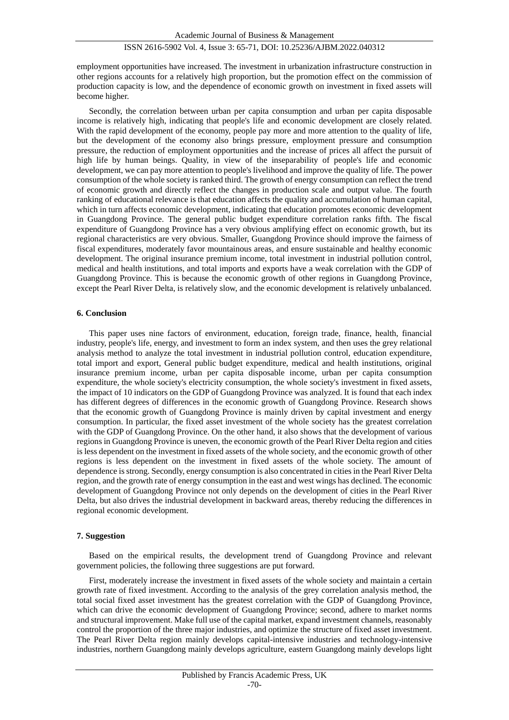employment opportunities have increased. The investment in urbanization infrastructure construction in other regions accounts for a relatively high proportion, but the promotion effect on the commission of production capacity is low, and the dependence of economic growth on investment in fixed assets will become higher.

Secondly, the correlation between urban per capita consumption and urban per capita disposable income is relatively high, indicating that people's life and economic development are closely related. With the rapid development of the economy, people pay more and more attention to the quality of life, but the development of the economy also brings pressure, employment pressure and consumption pressure, the reduction of employment opportunities and the increase of prices all affect the pursuit of high life by human beings. Quality, in view of the inseparability of people's life and economic development, we can pay more attention to people's livelihood and improve the quality of life. The power consumption of the whole society is ranked third. The growth of energy consumption can reflect the trend of economic growth and directly reflect the changes in production scale and output value. The fourth ranking of educational relevance is that education affects the quality and accumulation of human capital, which in turn affects economic development, indicating that education promotes economic development in Guangdong Province. The general public budget expenditure correlation ranks fifth. The fiscal expenditure of Guangdong Province has a very obvious amplifying effect on economic growth, but its regional characteristics are very obvious. Smaller, Guangdong Province should improve the fairness of fiscal expenditures, moderately favor mountainous areas, and ensure sustainable and healthy economic development. The original insurance premium income, total investment in industrial pollution control, medical and health institutions, and total imports and exports have a weak correlation with the GDP of Guangdong Province. This is because the economic growth of other regions in Guangdong Province, except the Pearl River Delta, is relatively slow, and the economic development is relatively unbalanced.

#### **6. Conclusion**

This paper uses nine factors of environment, education, foreign trade, finance, health, financial industry, people's life, energy, and investment to form an index system, and then uses the grey relational analysis method to analyze the total investment in industrial pollution control, education expenditure, total import and export, General public budget expenditure, medical and health institutions, original insurance premium income, urban per capita disposable income, urban per capita consumption expenditure, the whole society's electricity consumption, the whole society's investment in fixed assets, the impact of 10 indicators on the GDP of Guangdong Province was analyzed. It is found that each index has different degrees of differences in the economic growth of Guangdong Province. Research shows that the economic growth of Guangdong Province is mainly driven by capital investment and energy consumption. In particular, the fixed asset investment of the whole society has the greatest correlation with the GDP of Guangdong Province. On the other hand, it also shows that the development of various regions in Guangdong Province is uneven, the economic growth of the Pearl River Delta region and cities is less dependent on the investment in fixed assets of the whole society, and the economic growth of other regions is less dependent on the investment in fixed assets of the whole society. The amount of dependence is strong. Secondly, energy consumption is also concentrated in cities in the Pearl River Delta region, and the growth rate of energy consumption in the east and west wings has declined. The economic development of Guangdong Province not only depends on the development of cities in the Pearl River Delta, but also drives the industrial development in backward areas, thereby reducing the differences in regional economic development.

#### **7. Suggestion**

Based on the empirical results, the development trend of Guangdong Province and relevant government policies, the following three suggestions are put forward.

First, moderately increase the investment in fixed assets of the whole society and maintain a certain growth rate of fixed investment. According to the analysis of the grey correlation analysis method, the total social fixed asset investment has the greatest correlation with the GDP of Guangdong Province, which can drive the economic development of Guangdong Province; second, adhere to market norms and structural improvement. Make full use of the capital market, expand investment channels, reasonably control the proportion of the three major industries, and optimize the structure of fixed asset investment. The Pearl River Delta region mainly develops capital-intensive industries and technology-intensive industries, northern Guangdong mainly develops agriculture, eastern Guangdong mainly develops light